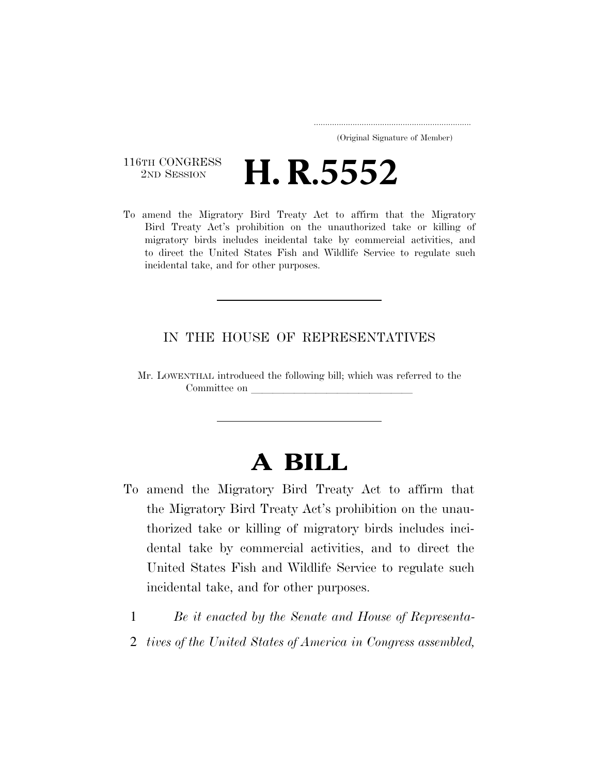#### ..................................................................... (Original Signature of Member)

## 116TH CONGRESS<br>
2ND SESSION 2ND SESSION **H. R.5552**

To amend the Migratory Bird Treaty Act to affirm that the Migratory Bird Treaty Act's prohibition on the unauthorized take or killing of migratory birds includes incidental take by commercial activities, and to direct the United States Fish and Wildlife Service to regulate such incidental take, and for other purposes.

## IN THE HOUSE OF REPRESENTATIVES

Mr. LOWENTHAL introduced the following bill; which was referred to the Committee on

# **A BILL**

- To amend the Migratory Bird Treaty Act to affirm that the Migratory Bird Treaty Act's prohibition on the unauthorized take or killing of migratory birds includes incidental take by commercial activities, and to direct the United States Fish and Wildlife Service to regulate such incidental take, and for other purposes.
	- 1 *Be it enacted by the Senate and House of Representa-*
	- 2 *tives of the United States of America in Congress assembled,*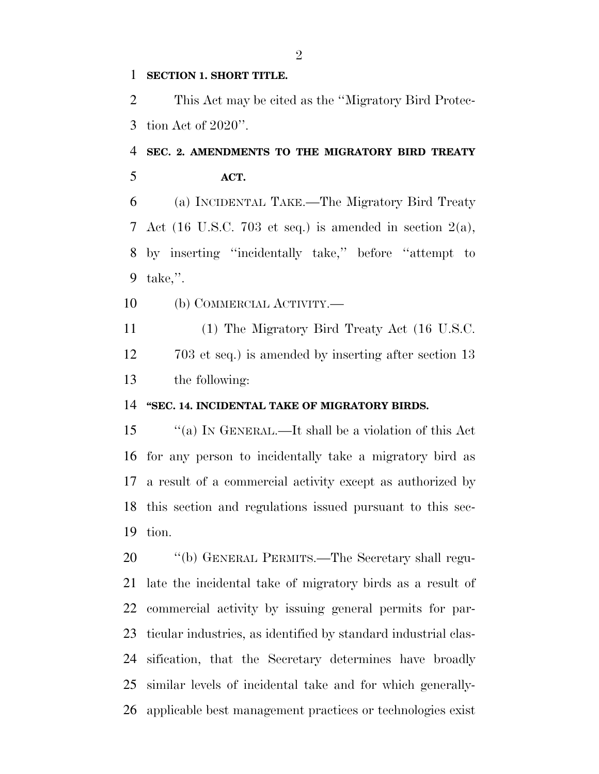### **SECTION 1. SHORT TITLE.**

 This Act may be cited as the ''Migratory Bird Protec-tion Act of 2020''.

# **SEC. 2. AMENDMENTS TO THE MIGRATORY BIRD TREATY ACT.**

 (a) INCIDENTAL TAKE.—The Migratory Bird Treaty Act (16 U.S.C. 703 et seq.) is amended in section 2(a), by inserting ''incidentally take,'' before ''attempt to take,''.

(b) COMMERCIAL ACTIVITY.—

 (1) The Migratory Bird Treaty Act (16 U.S.C. 12 703 et seq.) is amended by inserting after section 13 the following:

### **''SEC. 14. INCIDENTAL TAKE OF MIGRATORY BIRDS.**

 ''(a) IN GENERAL.—It shall be a violation of this Act for any person to incidentally take a migratory bird as a result of a commercial activity except as authorized by this section and regulations issued pursuant to this sec-tion.

 ''(b) GENERAL PERMITS.—The Secretary shall regu- late the incidental take of migratory birds as a result of commercial activity by issuing general permits for par- ticular industries, as identified by standard industrial clas- sification, that the Secretary determines have broadly similar levels of incidental take and for which generally-applicable best management practices or technologies exist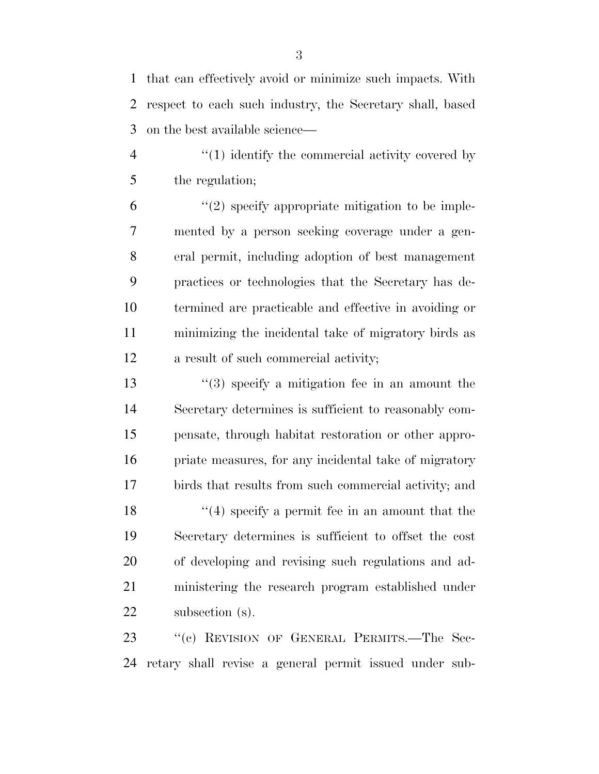that can effectively avoid or minimize such impacts. With respect to each such industry, the Secretary shall, based on the best available science—

4  $\frac{4}{1}$   $\frac{1}{2}$  identify the commercial activity covered by the regulation;

 $(2)$  specify appropriate mitigation to be imple- mented by a person seeking coverage under a gen- eral permit, including adoption of best management practices or technologies that the Secretary has de- termined are practicable and effective in avoiding or minimizing the incidental take of migratory birds as a result of such commercial activity;

 ''(3) specify a mitigation fee in an amount the Secretary determines is sufficient to reasonably com- pensate, through habitat restoration or other appro- priate measures, for any incidental take of migratory birds that results from such commercial activity; and 18 ''(4) specify a permit fee in an amount that the Secretary determines is sufficient to offset the cost of developing and revising such regulations and ad- ministering the research program established under subsection (s).

23 "(c) REVISION OF GENERAL PERMITS.—The Sec-retary shall revise a general permit issued under sub-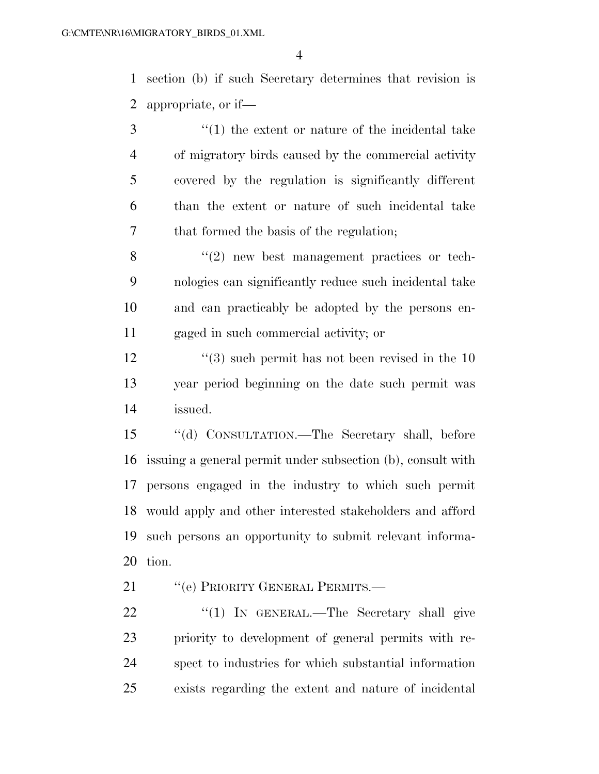section (b) if such Secretary determines that revision is appropriate, or if—

3 (1) the extent or nature of the incidental take of migratory birds caused by the commercial activity covered by the regulation is significantly different than the extent or nature of such incidental take that formed the basis of the regulation;

8 "(2) new best management practices or tech- nologies can significantly reduce such incidental take and can practicably be adopted by the persons en-gaged in such commercial activity; or

12 ''(3) such permit has not been revised in the 10 year period beginning on the date such permit was issued.

 ''(d) CONSULTATION.—The Secretary shall, before issuing a general permit under subsection (b), consult with persons engaged in the industry to which such permit would apply and other interested stakeholders and afford such persons an opportunity to submit relevant informa-tion.

21 "'(e) PRIORITY GENERAL PERMITS.—

22 "(1) In GENERAL.—The Secretary shall give priority to development of general permits with re- spect to industries for which substantial information exists regarding the extent and nature of incidental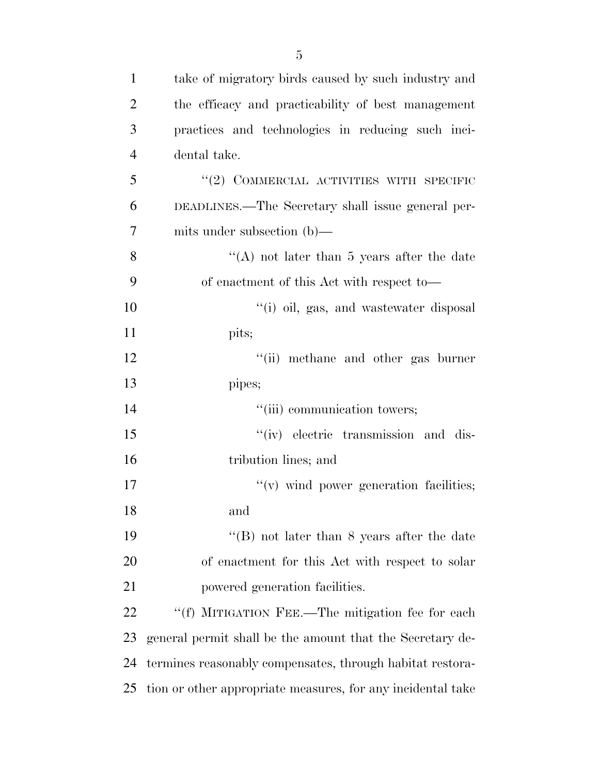| $\mathbf{1}$   | take of migratory birds caused by such industry and         |
|----------------|-------------------------------------------------------------|
| $\overline{2}$ | the efficacy and practicability of best management          |
| 3              | practices and technologies in reducing such inci-           |
| $\overline{4}$ | dental take.                                                |
| 5              | $``(2)$ COMMERCIAL ACTIVITIES WITH SPECIFIC                 |
| 6              | DEADLINES.—The Secretary shall issue general per-           |
| 7              | mits under subsection $(b)$ —                               |
| 8              | "(A) not later than 5 years after the date                  |
| 9              | of enactment of this Act with respect to—                   |
| 10             | "(i) oil, gas, and wastewater disposal                      |
| 11             | pits;                                                       |
| 12             | "(ii) methane and other gas burner                          |
| 13             | pipes;                                                      |
| 14             | "(iii) communication towers;                                |
| 15             | "(iv) electric transmission and dis-                        |
| 16             | tribution lines; and                                        |
| 17             | "(v) wind power generation facilities;                      |
| 18             | and                                                         |
| 19             | "(B) not later than $8$ years after the date                |
| 20             | of enactment for this Act with respect to solar             |
| 21             | powered generation facilities.                              |
| 22             | "(f) MITIGATION FEE.—The mitigation fee for each            |
| 23             | general permit shall be the amount that the Secretary de-   |
| 24             | termines reasonably compensates, through habitat restora-   |
| 25             | tion or other appropriate measures, for any incidental take |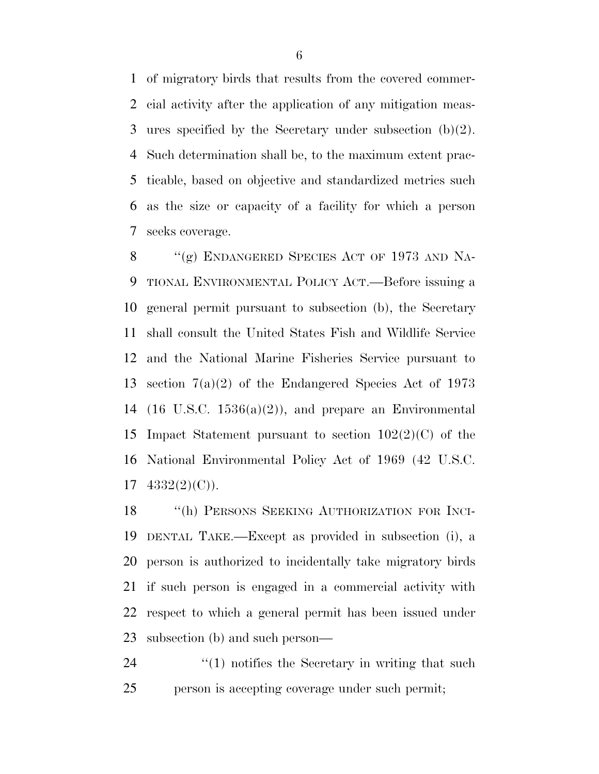of migratory birds that results from the covered commer- cial activity after the application of any mitigation meas- ures specified by the Secretary under subsection (b)(2). Such determination shall be, to the maximum extent prac- ticable, based on objective and standardized metrics such as the size or capacity of a facility for which a person seeks coverage.

8 "(g) ENDANGERED SPECIES ACT OF 1973 AND NA- TIONAL ENVIRONMENTAL POLICY ACT.—Before issuing a general permit pursuant to subsection (b), the Secretary shall consult the United States Fish and Wildlife Service and the National Marine Fisheries Service pursuant to section 7(a)(2) of the Endangered Species Act of 1973 14 (16 U.S.C.  $1536(a)(2)$ ), and prepare an Environmental Impact Statement pursuant to section 102(2)(C) of the National Environmental Policy Act of 1969 (42 U.S.C.  $17 \quad 4332(2)(C)$ ).

18 "(h) PERSONS SEEKING AUTHORIZATION FOR INCI- DENTAL TAKE.—Except as provided in subsection (i), a person is authorized to incidentally take migratory birds if such person is engaged in a commercial activity with respect to which a general permit has been issued under subsection (b) and such person—

  $\qquad$   $\qquad$   $\qquad$   $\qquad$   $\qquad$   $\qquad$   $\qquad$   $\qquad$   $\qquad$   $\qquad$   $\qquad$   $\qquad$   $\qquad$   $\qquad$   $\qquad$   $\qquad$   $\qquad$   $\qquad$   $\qquad$   $\qquad$   $\qquad$   $\qquad$   $\qquad$   $\qquad$   $\qquad$   $\qquad$   $\qquad$   $\qquad$   $\qquad$   $\qquad$   $\qquad$   $\qquad$   $\qquad$   $\qquad$   $\qquad$   $\qquad$  person is accepting coverage under such permit;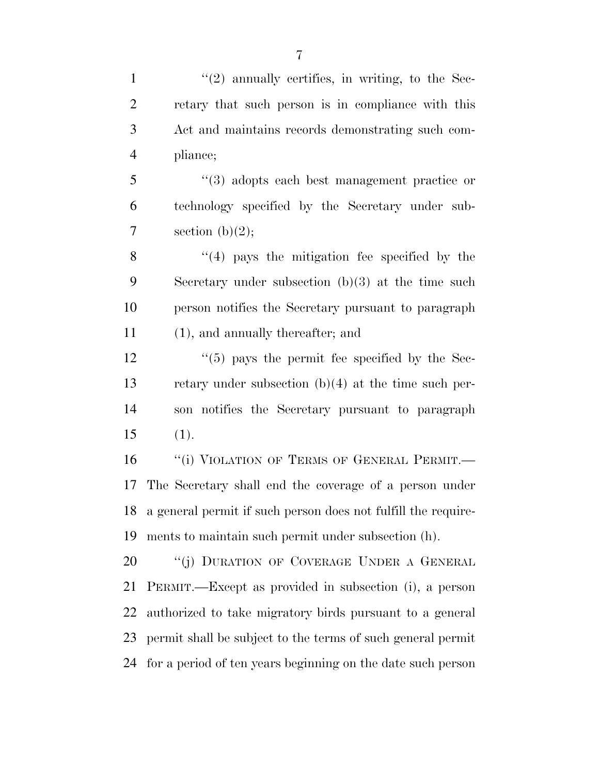$\frac{1}{2}$  ''(2) annually certifies, in writing, to the Sec- retary that such person is in compliance with this Act and maintains records demonstrating such com-pliance;

 ''(3) adopts each best management practice or technology specified by the Secretary under sub-7 section  $(b)(2)$ ;

8 ''(4) pays the mitigation fee specified by the Secretary under subsection (b)(3) at the time such person notifies the Secretary pursuant to paragraph (1), and annually thereafter; and

 $\frac{12}{12}$  ''(5) pays the permit fee specified by the Sec- retary under subsection (b)(4) at the time such per- son notifies the Secretary pursuant to paragraph (1).

16 "(i) VIOLATION OF TERMS OF GENERAL PERMIT. The Secretary shall end the coverage of a person under a general permit if such person does not fulfill the require-ments to maintain such permit under subsection (h).

20 "(j) DURATION OF COVERAGE UNDER A GENERAL PERMIT.—Except as provided in subsection (i), a person authorized to take migratory birds pursuant to a general permit shall be subject to the terms of such general permit for a period of ten years beginning on the date such person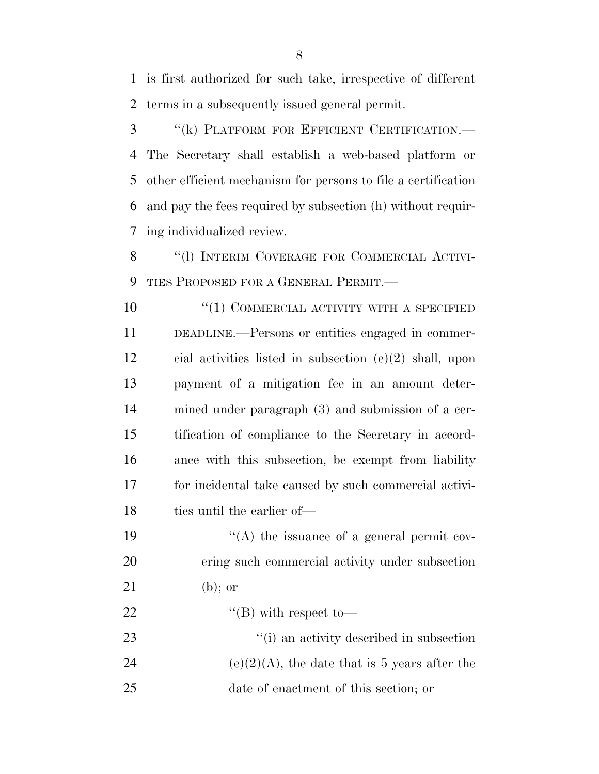is first authorized for such take, irrespective of different terms in a subsequently issued general permit.

 ''(k) PLATFORM FOR EFFICIENT CERTIFICATION.— The Secretary shall establish a web-based platform or other efficient mechanism for persons to file a certification and pay the fees required by subsection (h) without requir-ing individualized review.

8 "(1) INTERIM COVERAGE FOR COMMERCIAL ACTIVI-TIES PROPOSED FOR A GENERAL PERMIT.—

 ''(1) COMMERCIAL ACTIVITY WITH A SPECIFIED DEADLINE.—Persons or entities engaged in commer- cial activities listed in subsection (e)(2) shall, upon payment of a mitigation fee in an amount deter- mined under paragraph (3) and submission of a cer- tification of compliance to the Secretary in accord- ance with this subsection, be exempt from liability for incidental take caused by such commercial activi-18 ties until the earlier of—

19  $"({\rm A})$  the issuance of a general permit cov- ering such commercial activity under subsection (b); or

22  $\text{``(B)}$  with respect to—

 ''(i) an activity described in subsection 24 (e)(2)(A), the date that is 5 years after the date of enactment of this section; or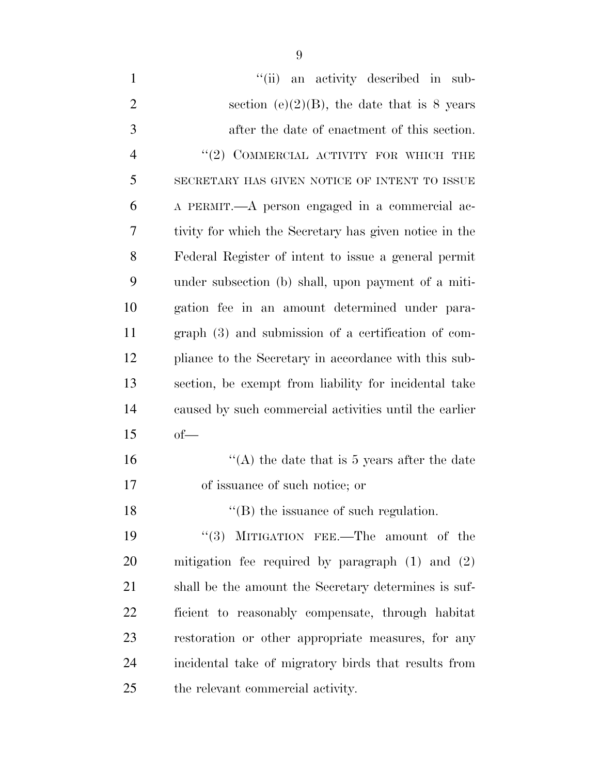| $\mathbf{1}$   | "(ii) an activity described in sub-                    |
|----------------|--------------------------------------------------------|
| $\overline{2}$ | section (e) $(2)(B)$ , the date that is 8 years        |
| 3              | after the date of enactment of this section.           |
| $\overline{4}$ | $``(2)$ COMMERCIAL ACTIVITY FOR WHICH THE              |
| 5              | SECRETARY HAS GIVEN NOTICE OF INTENT TO ISSUE          |
| 6              | A PERMIT.—A person engaged in a commercial ac-         |
| 7              | tivity for which the Secretary has given notice in the |
| 8              | Federal Register of intent to issue a general permit   |
| 9              | under subsection (b) shall, upon payment of a miti-    |
| 10             | gation fee in an amount determined under para-         |
| 11             | $graph(3)$ and submission of a certification of com-   |
| 12             | pliance to the Secretary in accordance with this sub-  |
| 13             | section, be exempt from liability for incidental take  |
| 14             | caused by such commercial activities until the earlier |
| 15             | $of$ —                                                 |
| 16             | "(A) the date that is 5 years after the date           |
| 17             | of issuance of such notice; or                         |
| 18             | $\lq\lq$ the issuance of such regulation.              |
| 19             | "(3) MITIGATION FEE.—The amount of the                 |
| 20             | mitigation fee required by paragraph $(1)$ and $(2)$   |
| 21             | shall be the amount the Secretary determines is suf-   |
| 22             | ficient to reasonably compensate, through habitat      |
| 23             | restoration or other appropriate measures, for any     |
| 24             | incidental take of migratory birds that results from   |
| 25             | the relevant commercial activity.                      |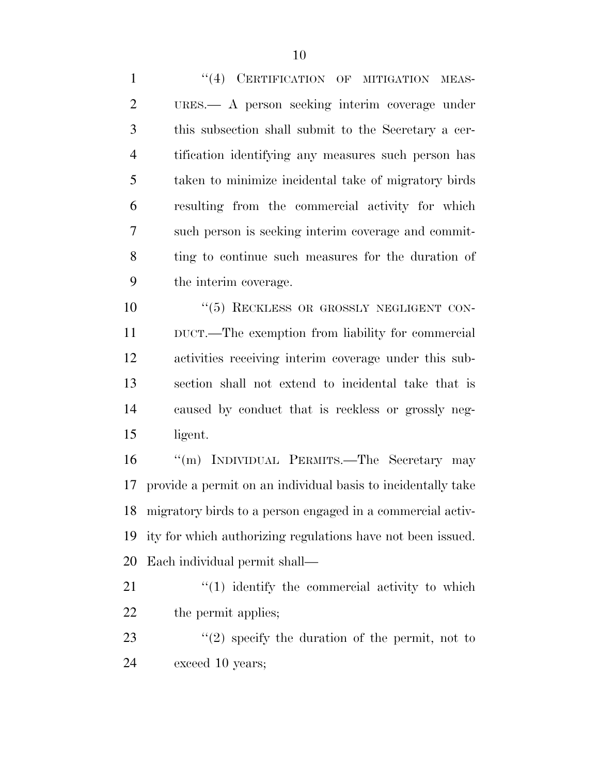1 "(4) CERTIFICATION OF MITIGATION MEAS- URES.— A person seeking interim coverage under this subsection shall submit to the Secretary a cer- tification identifying any measures such person has taken to minimize incidental take of migratory birds resulting from the commercial activity for which such person is seeking interim coverage and commit- ting to continue such measures for the duration of the interim coverage.

 $(5)$  RECKLESS OR GROSSLY NEGLIGENT CON- DUCT.—The exemption from liability for commercial activities receiving interim coverage under this sub- section shall not extend to incidental take that is caused by conduct that is reckless or grossly neg-ligent.

 ''(m) INDIVIDUAL PERMITS.—The Secretary may provide a permit on an individual basis to incidentally take migratory birds to a person engaged in a commercial activ- ity for which authorizing regulations have not been issued. Each individual permit shall—

21 ''(1) identify the commercial activity to which 22 the permit applies;

23 ''(2) specify the duration of the permit, not to exceed 10 years;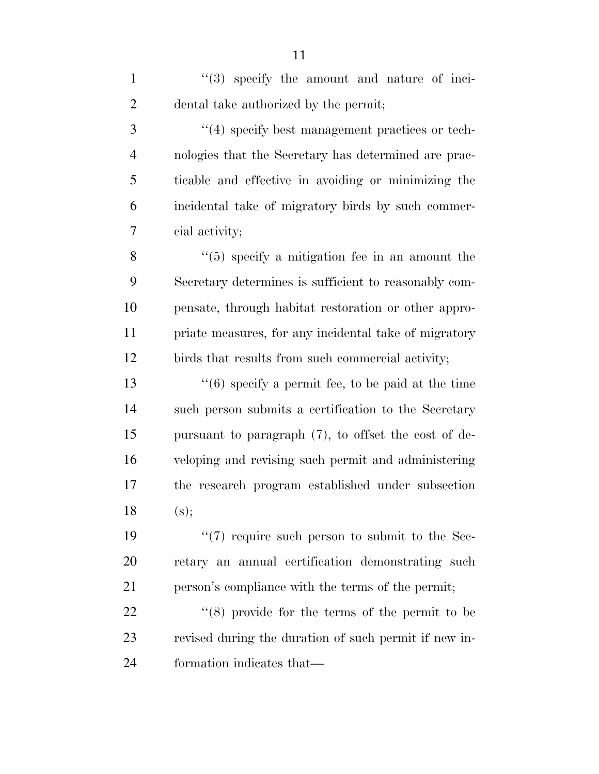1 ''(3) specify the amount and nature of inci-dental take authorized by the permit;

 ''(4) specify best management practices or tech- nologies that the Secretary has determined are prac- ticable and effective in avoiding or minimizing the incidental take of migratory birds by such commer-cial activity;

8 ''(5) specify a mitigation fee in an amount the Secretary determines is sufficient to reasonably com- pensate, through habitat restoration or other appro- priate measures, for any incidental take of migratory birds that results from such commercial activity;

 $\frac{13}{16}$  (6) specify a permit fee, to be paid at the time such person submits a certification to the Secretary pursuant to paragraph (7), to offset the cost of de- veloping and revising such permit and administering the research program established under subsection 18  $(s)$ ;

19  $\frac{1}{2}$  (7) require such person to submit to the Sec- retary an annual certification demonstrating such person's compliance with the terms of the permit;

22  $\frac{1}{2}$  (8) provide for the terms of the permit to be revised during the duration of such permit if new in-formation indicates that—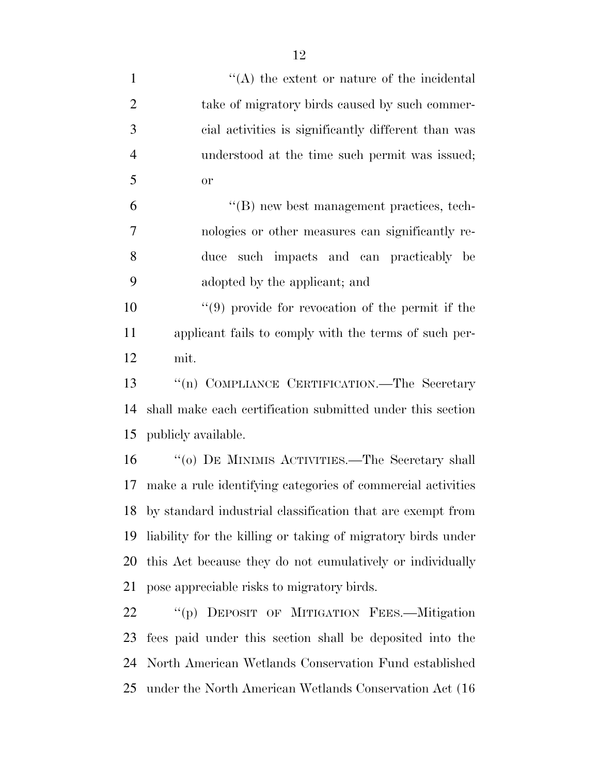| $\mathbf{1}$   | $\lq\lq$ the extent or nature of the incidental               |
|----------------|---------------------------------------------------------------|
| $\overline{2}$ | take of migratory birds caused by such commer-                |
| 3              | cial activities is significantly different than was           |
| $\overline{4}$ | understood at the time such permit was issued;                |
| 5              | <b>or</b>                                                     |
| 6              | "(B) new best management practices, tech-                     |
| 7              | nologies or other measures can significantly re-              |
| 8              | such impacts and can practicably be<br>duce                   |
| 9              | adopted by the applicant; and                                 |
| 10             | $(9)$ provide for revocation of the permit if the             |
| 11             | applicant fails to comply with the terms of such per-         |
| 12             | mit.                                                          |
| 13             | "(n) COMPLIANCE CERTIFICATION.—The Secretary                  |
| 14             | shall make each certification submitted under this section    |
| 15             | publicly available.                                           |
| 16             | "(0) DE MINIMIS ACTIVITIES.—The Secretary shall               |
| 17             | make a rule identifying categories of commercial activities   |
|                | 18 by standard industrial classification that are exempt from |
| 19             | liability for the killing or taking of migratory birds under  |
| 20             | this Act because they do not cumulatively or individually     |
| 21             | pose appreciable risks to migratory birds.                    |
| 22             | "(b) DEPOSIT OF MITIGATION FEES.—Mitigation                   |

22 ""(p) DEPOSIT OF MITIGATION FEES.—Mitigation fees paid under this section shall be deposited into the North American Wetlands Conservation Fund established under the North American Wetlands Conservation Act (16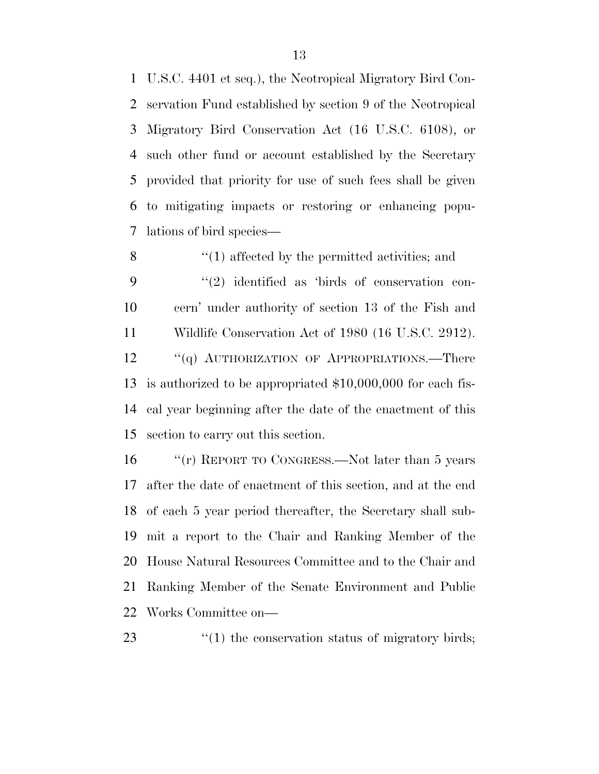U.S.C. 4401 et seq.), the Neotropical Migratory Bird Con- servation Fund established by section 9 of the Neotropical Migratory Bird Conservation Act (16 U.S.C. 6108), or such other fund or account established by the Secretary provided that priority for use of such fees shall be given to mitigating impacts or restoring or enhancing popu-lations of bird species—

8 ''(1) affected by the permitted activities; and  $(2)$  identified as 'birds of conservation con- cern' under authority of section 13 of the Fish and Wildlife Conservation Act of 1980 (16 U.S.C. 2912). 12 "(q) AUTHORIZATION OF APPROPRIATIONS.—There is authorized to be appropriated \$10,000,000 for each fis- cal year beginning after the date of the enactment of this section to carry out this section.

 ''(r) REPORT TO CONGRESS.—Not later than 5 years after the date of enactment of this section, and at the end of each 5 year period thereafter, the Secretary shall sub- mit a report to the Chair and Ranking Member of the House Natural Resources Committee and to the Chair and Ranking Member of the Senate Environment and Public Works Committee on—

''(1) the conservation status of migratory birds;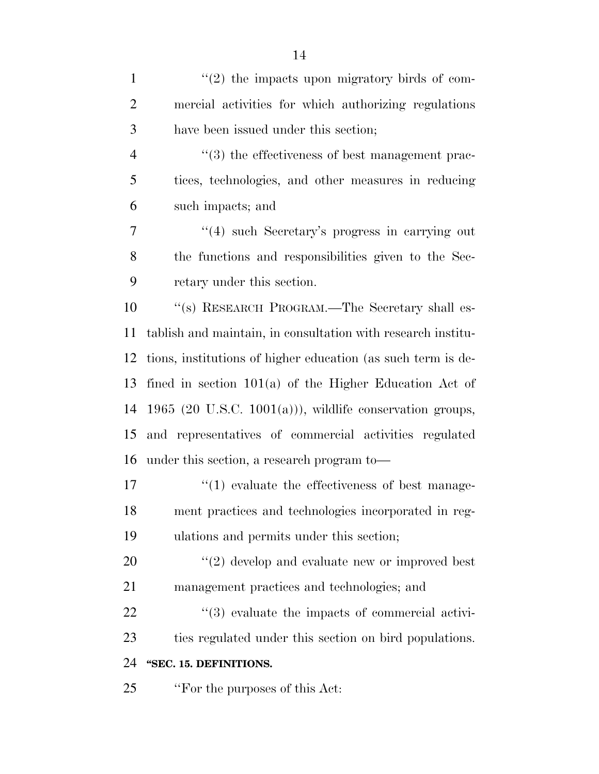| $\mathbf{1}$   | $\lq(2)$ the impacts upon migratory birds of com-            |
|----------------|--------------------------------------------------------------|
| $\overline{2}$ | mercial activities for which authorizing regulations         |
| 3              | have been issued under this section;                         |
| $\overline{4}$ | "(3) the effectiveness of best management prac-              |
| 5              | tices, technologies, and other measures in reducing          |
| 6              | such impacts; and                                            |
| 7              | $\cdot$ (4) such Secretary's progress in carrying out        |
| 8              | the functions and responsibilities given to the Sec-         |
| 9              | retary under this section.                                   |
| 10             | "(s) RESEARCH PROGRAM.—The Secretary shall es-               |
| 11             | tablish and maintain, in consultation with research institu- |
| 12             | tions, institutions of higher education (as such term is de- |
| 13             | fined in section $101(a)$ of the Higher Education Act of     |
| 14             | 1965 (20 U.S.C. 1001(a))), wildlife conservation groups,     |
| 15             | and representatives of commercial activities regulated       |
| 16             | under this section, a research program to-                   |
| 17             | $\lq(1)$ evaluate the effectiveness of best manage-          |
| 18             | ment practices and technologies incorporated in reg-         |
| 19             | ulations and permits under this section;                     |
| 20             | $f'(2)$ develop and evaluate new or improved best            |
| 21             | management practices and technologies; and                   |
| 22             | "(3) evaluate the impacts of commercial activi-              |
| 23             | ties regulated under this section on bird populations.       |
| 24             | "SEC. 15. DEFINITIONS.                                       |
| 25             | "For the purposes of this Act:                               |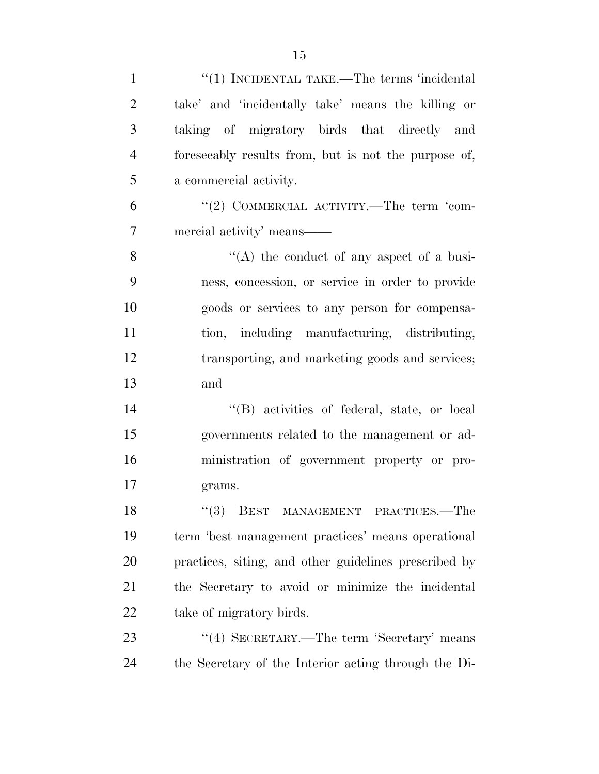| $\mathbf{1}$   | $"(1)$ INCIDENTAL TAKE.—The terms 'incidental         |
|----------------|-------------------------------------------------------|
| $\overline{2}$ | take' and 'incidentally take' means the killing or    |
| 3              | taking of migratory birds that directly and           |
| $\overline{4}$ | foreseeably results from, but is not the purpose of,  |
| 5              | a commercial activity.                                |
| 6              | "(2) COMMERCIAL ACTIVITY.—The term 'com-              |
| $\overline{7}$ | mercial activity' means-                              |
| 8              | "(A) the conduct of any aspect of a busi-             |
| 9              | ness, concession, or service in order to provide      |
| 10             | goods or services to any person for compensa-         |
| 11             | tion, including manufacturing, distributing,          |
| 12             | transporting, and marketing goods and services;       |
| 13             | and                                                   |
| 14             | "(B) activities of federal, state, or local           |
| 15             | governments related to the management or ad-          |
| 16             | ministration of government property or pro-           |
| 17             | grams.                                                |
| 18             | "(3) BEST MANAGEMENT PRACTICES.—The                   |
| 19             | term 'best management practices' means operational    |
| 20             | practices, siting, and other guidelines prescribed by |
| 21             | the Secretary to avoid or minimize the incidental     |
| 22             | take of migratory birds.                              |
| 23             | "(4) SECRETARY.—The term 'Secretary' means            |
| 24             | the Secretary of the Interior acting through the Di-  |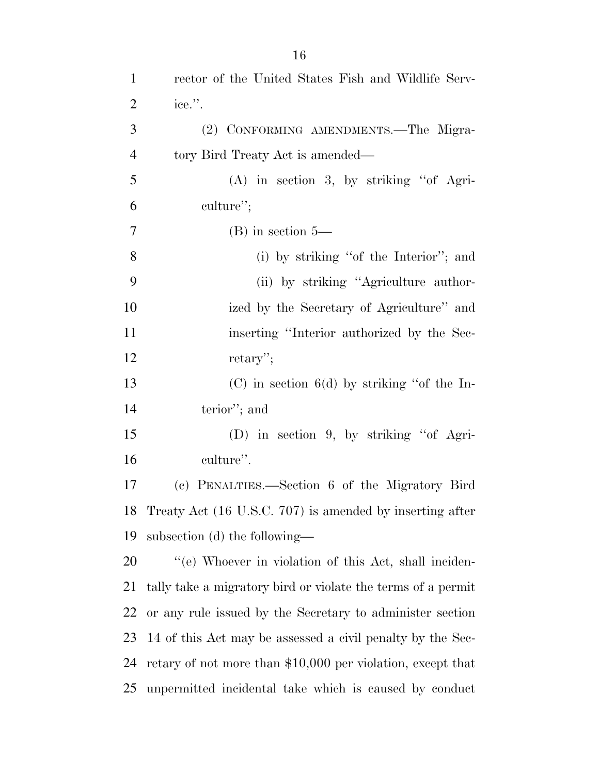| $\overline{2}$ | ice.".                                                       |
|----------------|--------------------------------------------------------------|
| 3              | (2) CONFORMING AMENDMENTS.—The Migra-                        |
| $\overline{4}$ | tory Bird Treaty Act is amended—                             |
| 5              | $(A)$ in section 3, by striking "of Agri-                    |
| 6              | culture";                                                    |
| 7              | $(B)$ in section 5—                                          |
| 8              | (i) by striking "of the Interior"; and                       |
| 9              | (ii) by striking "Agriculture author-                        |
| 10             | ized by the Secretary of Agriculture" and                    |
| 11             | inserting "Interior authorized by the Sec-                   |
| 12             | retary";                                                     |
| 13             | $(C)$ in section 6(d) by striking "of the In-                |
| 14             | terior"; and                                                 |
| 15             | (D) in section 9, by striking "of Agri-                      |
| 16             | culture".                                                    |
| 17             | (c) PENALTIES.—Section 6 of the Migratory Bird               |
| 18             | Treaty Act (16 U.S.C. 707) is amended by inserting after     |
| 19             | subsection (d) the following—                                |
| 20             | "(e) Whoever in violation of this Act, shall inciden-        |
| 21             | tally take a migratory bird or violate the terms of a permit |
| 22             | or any rule issued by the Secretary to administer section    |
| 23             | 14 of this Act may be assessed a civil penalty by the Sec-   |
| 24             | retary of not more than \$10,000 per violation, except that  |
| 25             | unpermitted incidental take which is caused by conduct       |